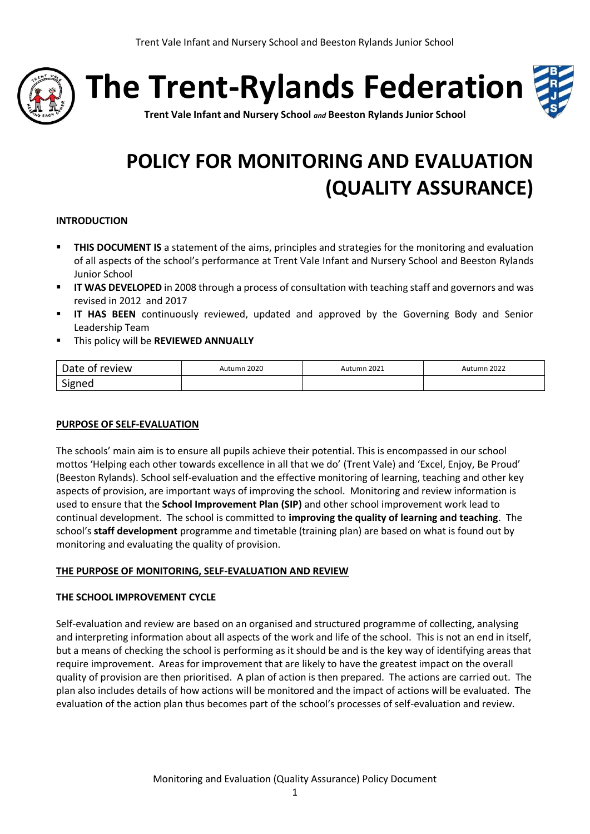

**The Trent-Rylands Federation**



**Trent Vale Infant and Nursery School** *and* **Beeston Rylands Junior School**

# **POLICY FOR MONITORING AND EVALUATION (QUALITY ASSURANCE)**

#### **INTRODUCTION**

- **THIS DOCUMENT IS** a statement of the aims, principles and strategies for the monitoring and evaluation of all aspects of the school's performance at Trent Vale Infant and Nursery School and Beeston Rylands Junior School
- **IT WAS DEVELOPED** in 2008 through a process of consultation with teaching staff and governors and was revised in 2012 and 2017
- **IT HAS BEEN** continuously reviewed, updated and approved by the Governing Body and Senior Leadership Team
- This policy will be **REVIEWED ANNUALLY**

| Date of<br>review | Autumn 2020 | Autumn 2021 | Autumn 2022 |
|-------------------|-------------|-------------|-------------|
| Signed            |             |             |             |

#### **PURPOSE OF SELF-EVALUATION**

The schools' main aim is to ensure all pupils achieve their potential. This is encompassed in our school mottos 'Helping each other towards excellence in all that we do' (Trent Vale) and 'Excel, Enjoy, Be Proud' (Beeston Rylands). School self-evaluation and the effective monitoring of learning, teaching and other key aspects of provision, are important ways of improving the school. Monitoring and review information is used to ensure that the **School Improvement Plan (SIP)** and other school improvement work lead to continual development. The school is committed to **improving the quality of learning and teaching**. The school's **staff development** programme and timetable (training plan) are based on what is found out by monitoring and evaluating the quality of provision.

#### **THE PURPOSE OF MONITORING, SELF-EVALUATION AND REVIEW**

#### **THE SCHOOL IMPROVEMENT CYCLE**

Self-evaluation and review are based on an organised and structured programme of collecting, analysing and interpreting information about all aspects of the work and life of the school. This is not an end in itself, but a means of checking the school is performing as it should be and is the key way of identifying areas that require improvement. Areas for improvement that are likely to have the greatest impact on the overall quality of provision are then prioritised. A plan of action is then prepared. The actions are carried out. The plan also includes details of how actions will be monitored and the impact of actions will be evaluated. The evaluation of the action plan thus becomes part of the school's processes of self-evaluation and review.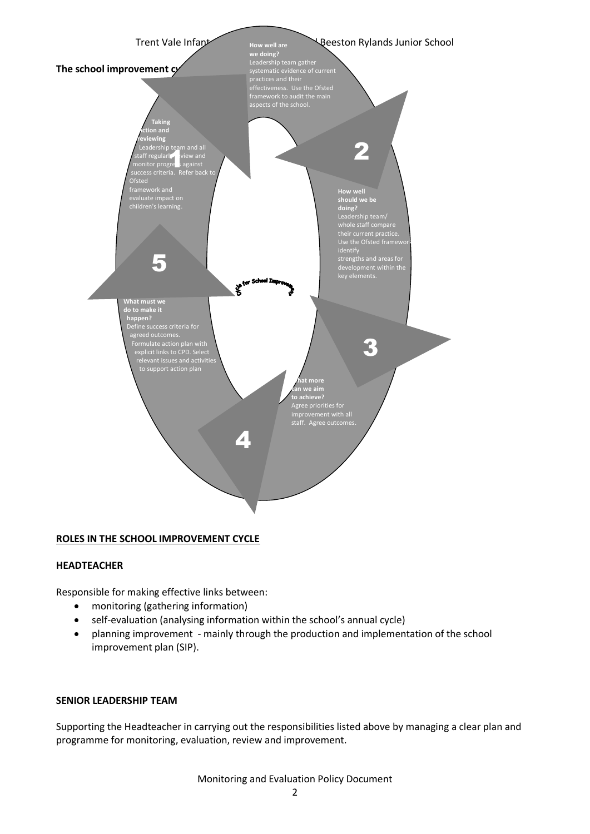

## **ROLES IN THE SCHOOL IMPROVEMENT CYCLE**

## **HEADTEACHER**

Responsible for making effective links between:

- monitoring (gathering information)
- self-evaluation (analysing information within the school's annual cycle)
- planning improvement mainly through the production and implementation of the school improvement plan (SIP).

#### **SENIOR LEADERSHIP TEAM**

Supporting the Headteacher in carrying out the responsibilities listed above by managing a clear plan and programme for monitoring, evaluation, review and improvement.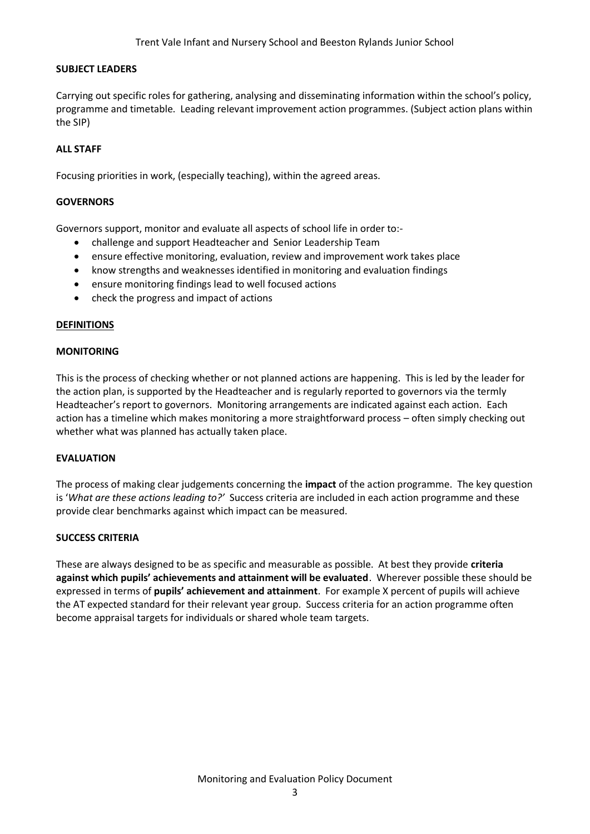#### **SUBJECT LEADERS**

Carrying out specific roles for gathering, analysing and disseminating information within the school's policy, programme and timetable. Leading relevant improvement action programmes. (Subject action plans within the SIP)

#### **ALL STAFF**

Focusing priorities in work, (especially teaching), within the agreed areas.

#### **GOVERNORS**

Governors support, monitor and evaluate all aspects of school life in order to:-

- challenge and support Headteacher and Senior Leadership Team
- ensure effective monitoring, evaluation, review and improvement work takes place
- know strengths and weaknesses identified in monitoring and evaluation findings
- ensure monitoring findings lead to well focused actions
- check the progress and impact of actions

#### **DEFINITIONS**

#### **MONITORING**

This is the process of checking whether or not planned actions are happening. This is led by the leader for the action plan, is supported by the Headteacher and is regularly reported to governors via the termly Headteacher's report to governors. Monitoring arrangements are indicated against each action. Each action has a timeline which makes monitoring a more straightforward process – often simply checking out whether what was planned has actually taken place.

#### **EVALUATION**

The process of making clear judgements concerning the **impact** of the action programme. The key question is '*What are these actions leading to?'* Success criteria are included in each action programme and these provide clear benchmarks against which impact can be measured.

#### **SUCCESS CRITERIA**

These are always designed to be as specific and measurable as possible. At best they provide **criteria against which pupils' achievements and attainment will be evaluated**. Wherever possible these should be expressed in terms of **pupils' achievement and attainment**. For example X percent of pupils will achieve the AT expected standard for their relevant year group. Success criteria for an action programme often become appraisal targets for individuals or shared whole team targets.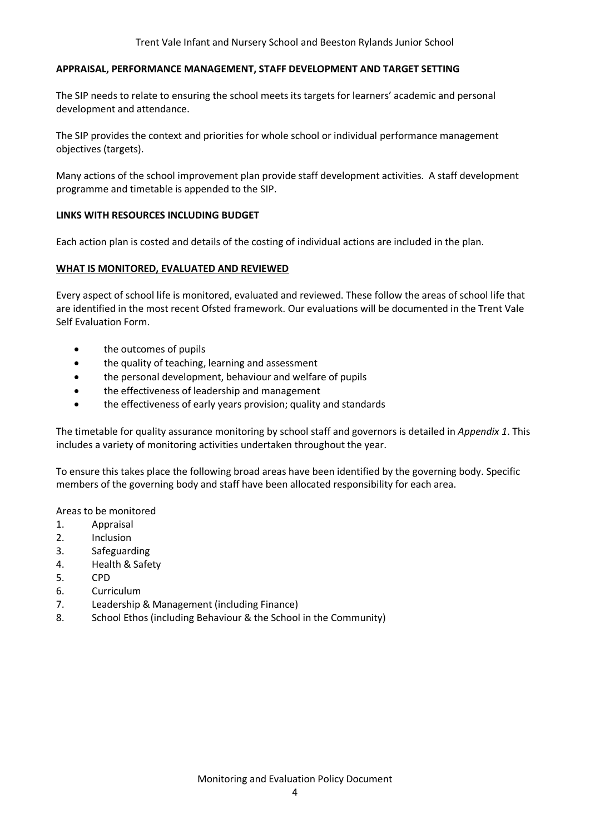#### **APPRAISAL, PERFORMANCE MANAGEMENT, STAFF DEVELOPMENT AND TARGET SETTING**

The SIP needs to relate to ensuring the school meets its targets for learners' academic and personal development and attendance.

The SIP provides the context and priorities for whole school or individual performance management objectives (targets).

Many actions of the school improvement plan provide staff development activities. A staff development programme and timetable is appended to the SIP.

#### **LINKS WITH RESOURCES INCLUDING BUDGET**

Each action plan is costed and details of the costing of individual actions are included in the plan.

#### **WHAT IS MONITORED, EVALUATED AND REVIEWED**

Every aspect of school life is monitored, evaluated and reviewed. These follow the areas of school life that are identified in the most recent Ofsted framework. Our evaluations will be documented in the Trent Vale Self Evaluation Form.

- the outcomes of pupils
- the quality of teaching, learning and assessment
- the personal development, behaviour and welfare of pupils
- the effectiveness of leadership and management
- the effectiveness of early years provision; quality and standards

The timetable for quality assurance monitoring by school staff and governors is detailed in *Appendix 1*. This includes a variety of monitoring activities undertaken throughout the year.

To ensure this takes place the following broad areas have been identified by the governing body. Specific members of the governing body and staff have been allocated responsibility for each area.

#### Areas to be monitored

- 1. Appraisal
- 2. Inclusion
- 3. Safeguarding
- 4. Health & Safety
- 5. CPD
- 6. Curriculum
- 7. Leadership & Management (including Finance)
- 8. School Ethos (including Behaviour & the School in the Community)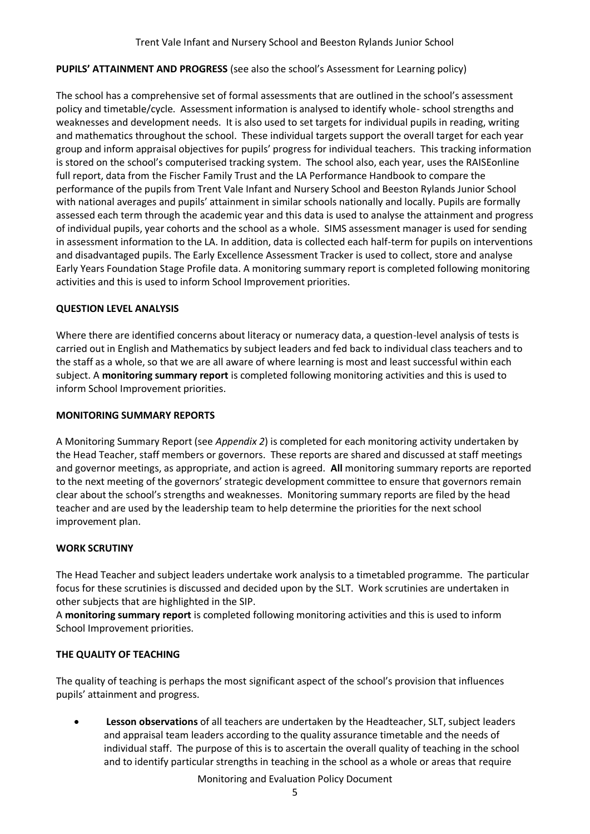## **PUPILS' ATTAINMENT AND PROGRESS** (see also the school's Assessment for Learning policy)

The school has a comprehensive set of formal assessments that are outlined in the school's assessment policy and timetable/cycle. Assessment information is analysed to identify whole- school strengths and weaknesses and development needs. It is also used to set targets for individual pupils in reading, writing and mathematics throughout the school. These individual targets support the overall target for each year group and inform appraisal objectives for pupils' progress for individual teachers. This tracking information is stored on the school's computerised tracking system. The school also, each year, uses the RAISEonline full report, data from the Fischer Family Trust and the LA Performance Handbook to compare the performance of the pupils from Trent Vale Infant and Nursery School and Beeston Rylands Junior School with national averages and pupils' attainment in similar schools nationally and locally. Pupils are formally assessed each term through the academic year and this data is used to analyse the attainment and progress of individual pupils, year cohorts and the school as a whole. SIMS assessment manager is used for sending in assessment information to the LA. In addition, data is collected each half-term for pupils on interventions and disadvantaged pupils. The Early Excellence Assessment Tracker is used to collect, store and analyse Early Years Foundation Stage Profile data. A monitoring summary report is completed following monitoring activities and this is used to inform School Improvement priorities.

#### **QUESTION LEVEL ANALYSIS**

Where there are identified concerns about literacy or numeracy data, a question-level analysis of tests is carried out in English and Mathematics by subject leaders and fed back to individual class teachers and to the staff as a whole, so that we are all aware of where learning is most and least successful within each subject. A **monitoring summary report** is completed following monitoring activities and this is used to inform School Improvement priorities.

#### **MONITORING SUMMARY REPORTS**

A Monitoring Summary Report (see *Appendix 2*) is completed for each monitoring activity undertaken by the Head Teacher, staff members or governors. These reports are shared and discussed at staff meetings and governor meetings, as appropriate, and action is agreed. **All** monitoring summary reports are reported to the next meeting of the governors' strategic development committee to ensure that governors remain clear about the school's strengths and weaknesses. Monitoring summary reports are filed by the head teacher and are used by the leadership team to help determine the priorities for the next school improvement plan.

#### **WORK SCRUTINY**

The Head Teacher and subject leaders undertake work analysis to a timetabled programme. The particular focus for these scrutinies is discussed and decided upon by the SLT. Work scrutinies are undertaken in other subjects that are highlighted in the SIP.

A **monitoring summary report** is completed following monitoring activities and this is used to inform School Improvement priorities.

#### **THE QUALITY OF TEACHING**

The quality of teaching is perhaps the most significant aspect of the school's provision that influences pupils' attainment and progress.

 **Lesson observations** of all teachers are undertaken by the Headteacher, SLT, subject leaders and appraisal team leaders according to the quality assurance timetable and the needs of individual staff. The purpose of this is to ascertain the overall quality of teaching in the school and to identify particular strengths in teaching in the school as a whole or areas that require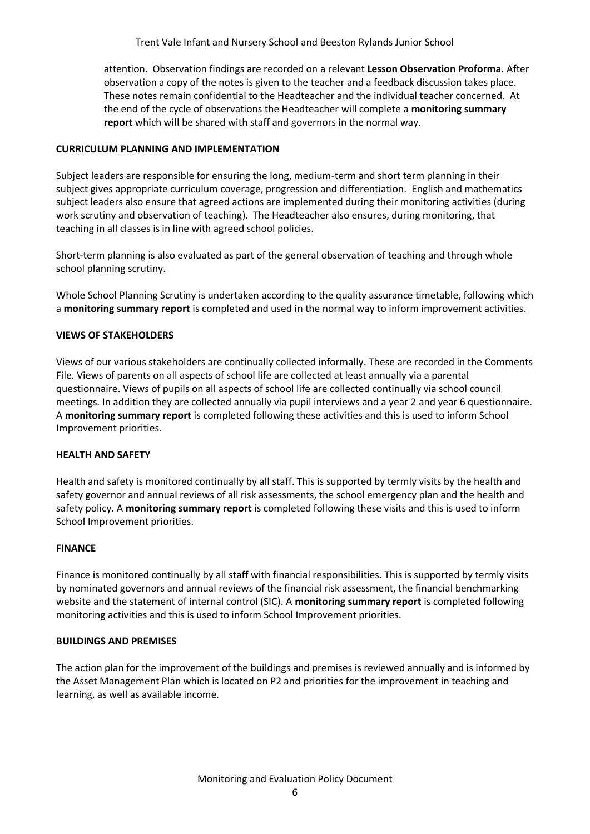attention. Observation findings are recorded on a relevant **Lesson Observation Proforma***.* After observation a copy of the notes is given to the teacher and a feedback discussion takes place. These notes remain confidential to the Headteacher and the individual teacher concerned. At the end of the cycle of observations the Headteacher will complete a **monitoring summary report** which will be shared with staff and governors in the normal way.

#### **CURRICULUM PLANNING AND IMPLEMENTATION**

Subject leaders are responsible for ensuring the long, medium-term and short term planning in their subject gives appropriate curriculum coverage, progression and differentiation. English and mathematics subject leaders also ensure that agreed actions are implemented during their monitoring activities (during work scrutiny and observation of teaching). The Headteacher also ensures, during monitoring, that teaching in all classes is in line with agreed school policies.

Short-term planning is also evaluated as part of the general observation of teaching and through whole school planning scrutiny.

Whole School Planning Scrutiny is undertaken according to the quality assurance timetable, following which a **monitoring summary report** is completed and used in the normal way to inform improvement activities.

#### **VIEWS OF STAKEHOLDERS**

Views of our various stakeholders are continually collected informally. These are recorded in the Comments File. Views of parents on all aspects of school life are collected at least annually via a parental questionnaire. Views of pupils on all aspects of school life are collected continually via school council meetings. In addition they are collected annually via pupil interviews and a year 2 and year 6 questionnaire. A **monitoring summary report** is completed following these activities and this is used to inform School Improvement priorities.

#### **HEALTH AND SAFETY**

Health and safety is monitored continually by all staff. This is supported by termly visits by the health and safety governor and annual reviews of all risk assessments, the school emergency plan and the health and safety policy. A **monitoring summary report** is completed following these visits and this is used to inform School Improvement priorities.

#### **FINANCE**

Finance is monitored continually by all staff with financial responsibilities. This is supported by termly visits by nominated governors and annual reviews of the financial risk assessment, the financial benchmarking website and the statement of internal control (SIC). A **monitoring summary report** is completed following monitoring activities and this is used to inform School Improvement priorities.

#### **BUILDINGS AND PREMISES**

The action plan for the improvement of the buildings and premises is reviewed annually and is informed by the Asset Management Plan which is located on P2 and priorities for the improvement in teaching and learning, as well as available income.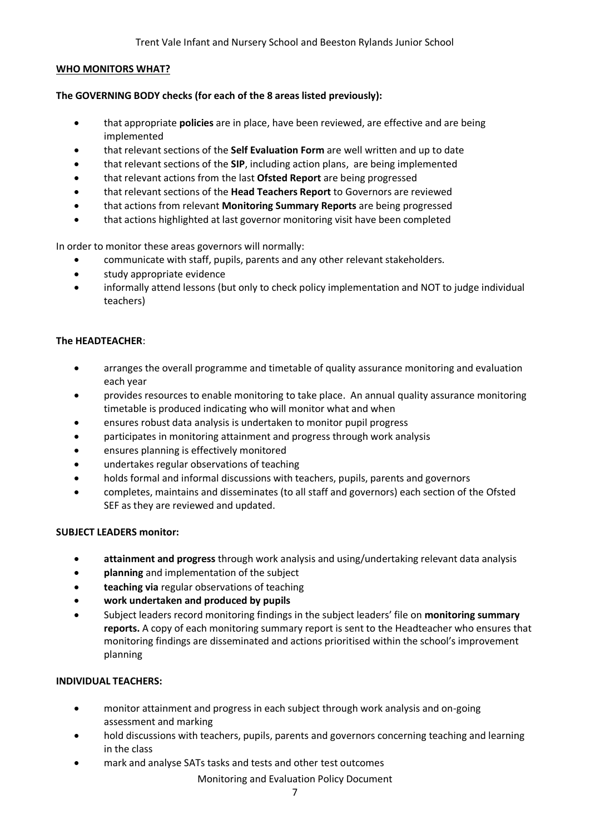#### **WHO MONITORS WHAT?**

### **The GOVERNING BODY checks (for each of the 8 areas listed previously):**

- that appropriate **policies** are in place, have been reviewed, are effective and are being implemented
- that relevant sections of the **Self Evaluation Form** are well written and up to date
- that relevant sections of the **SIP**, including action plans, are being implemented
- that relevant actions from the last **Ofsted Report** are being progressed
- that relevant sections of the **Head Teachers Report** to Governors are reviewed
- that actions from relevant **Monitoring Summary Reports** are being progressed
- that actions highlighted at last governor monitoring visit have been completed

In order to monitor these areas governors will normally:

- communicate with staff, pupils, parents and any other relevant stakeholders.
- study appropriate evidence
- informally attend lessons (but only to check policy implementation and NOT to judge individual teachers)

#### **The HEADTEACHER**:

- arranges the overall programme and timetable of quality assurance monitoring and evaluation each year
- provides resources to enable monitoring to take place. An annual quality assurance monitoring timetable is produced indicating who will monitor what and when
- ensures robust data analysis is undertaken to monitor pupil progress
- participates in monitoring attainment and progress through work analysis
- ensures planning is effectively monitored
- undertakes regular observations of teaching
- holds formal and informal discussions with teachers, pupils, parents and governors
- completes, maintains and disseminates (to all staff and governors) each section of the Ofsted SEF as they are reviewed and updated.

#### **SUBJECT LEADERS monitor:**

- **attainment and progress** through work analysis and using/undertaking relevant data analysis
- **planning** and implementation of the subject
- **teaching via** regular observations of teaching
- **work undertaken and produced by pupils**
- Subject leaders record monitoring findings in the subject leaders' file on **monitoring summary reports.** A copy of each monitoring summary report is sent to the Headteacher who ensures that monitoring findings are disseminated and actions prioritised within the school's improvement planning

#### **INDIVIDUAL TEACHERS:**

- monitor attainment and progress in each subject through work analysis and on-going assessment and marking
- hold discussions with teachers, pupils, parents and governors concerning teaching and learning in the class
- mark and analyse SATs tasks and tests and other test outcomes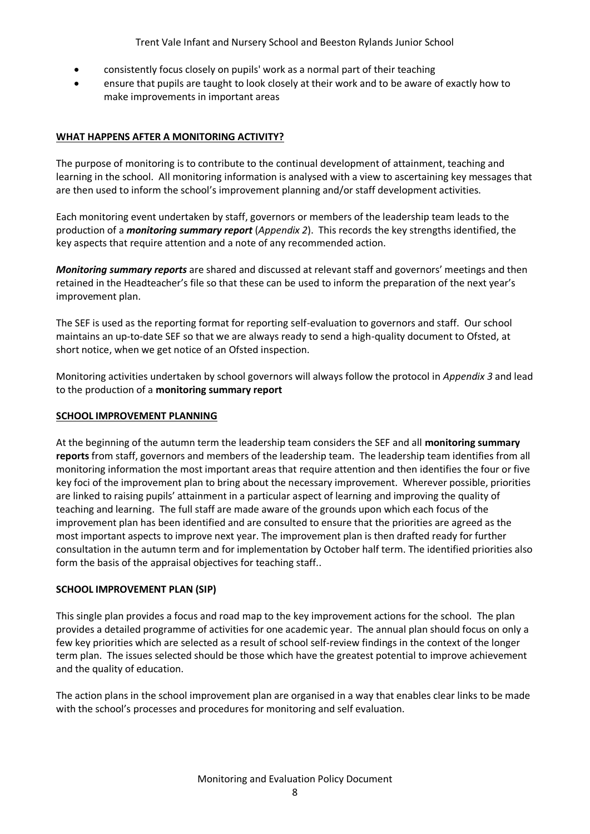- consistently focus closely on pupils' work as a normal part of their teaching
- ensure that pupils are taught to look closely at their work and to be aware of exactly how to make improvements in important areas

## **WHAT HAPPENS AFTER A MONITORING ACTIVITY?**

The purpose of monitoring is to contribute to the continual development of attainment, teaching and learning in the school. All monitoring information is analysed with a view to ascertaining key messages that are then used to inform the school's improvement planning and/or staff development activities.

Each monitoring event undertaken by staff, governors or members of the leadership team leads to the production of a *monitoring summary report* (*Appendix 2*). This records the key strengths identified, the key aspects that require attention and a note of any recommended action.

*Monitoring summary reports* are shared and discussed at relevant staff and governors' meetings and then retained in the Headteacher's file so that these can be used to inform the preparation of the next year's improvement plan.

The SEF is used as the reporting format for reporting self-evaluation to governors and staff. Our school maintains an up-to-date SEF so that we are always ready to send a high-quality document to Ofsted, at short notice, when we get notice of an Ofsted inspection.

Monitoring activities undertaken by school governors will always follow the protocol in *Appendix 3* and lead to the production of a **monitoring summary report**

#### **SCHOOL IMPROVEMENT PLANNING**

At the beginning of the autumn term the leadership team considers the SEF and all **monitoring summary reports** from staff, governors and members of the leadership team. The leadership team identifies from all monitoring information the most important areas that require attention and then identifies the four or five key foci of the improvement plan to bring about the necessary improvement. Wherever possible, priorities are linked to raising pupils' attainment in a particular aspect of learning and improving the quality of teaching and learning. The full staff are made aware of the grounds upon which each focus of the improvement plan has been identified and are consulted to ensure that the priorities are agreed as the most important aspects to improve next year. The improvement plan is then drafted ready for further consultation in the autumn term and for implementation by October half term. The identified priorities also form the basis of the appraisal objectives for teaching staff..

## **SCHOOL IMPROVEMENT PLAN (SIP)**

This single plan provides a focus and road map to the key improvement actions for the school. The plan provides a detailed programme of activities for one academic year. The annual plan should focus on only a few key priorities which are selected as a result of school self-review findings in the context of the longer term plan. The issues selected should be those which have the greatest potential to improve achievement and the quality of education.

The action plans in the school improvement plan are organised in a way that enables clear links to be made with the school's processes and procedures for monitoring and self evaluation.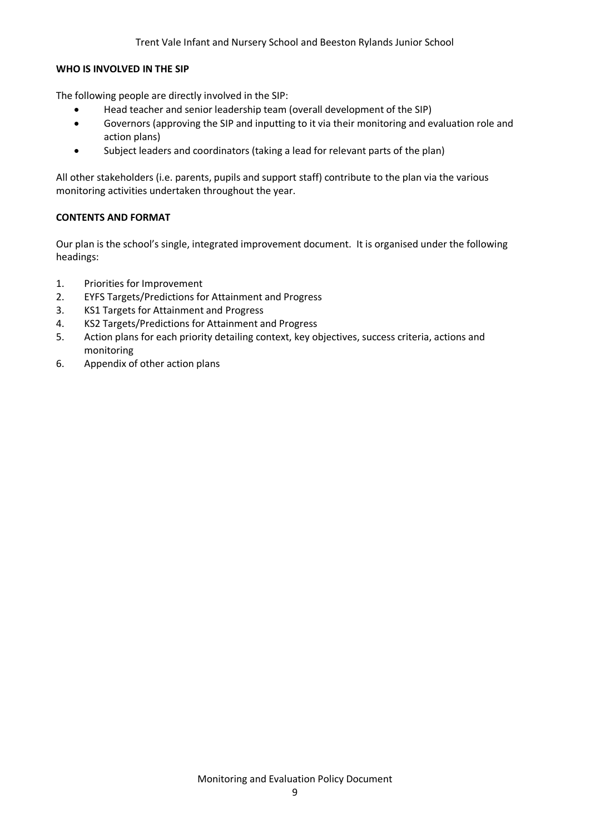### **WHO IS INVOLVED IN THE SIP**

The following people are directly involved in the SIP:

- Head teacher and senior leadership team (overall development of the SIP)
- Governors (approving the SIP and inputting to it via their monitoring and evaluation role and action plans)
- Subject leaders and coordinators (taking a lead for relevant parts of the plan)

All other stakeholders (i.e. parents, pupils and support staff) contribute to the plan via the various monitoring activities undertaken throughout the year.

#### **CONTENTS AND FORMAT**

Our plan is the school's single, integrated improvement document. It is organised under the following headings:

- 1. Priorities for Improvement
- 2. EYFS Targets/Predictions for Attainment and Progress
- 3. KS1 Targets for Attainment and Progress
- 4. KS2 Targets/Predictions for Attainment and Progress
- 5. Action plans for each priority detailing context, key objectives, success criteria, actions and monitoring
- 6. Appendix of other action plans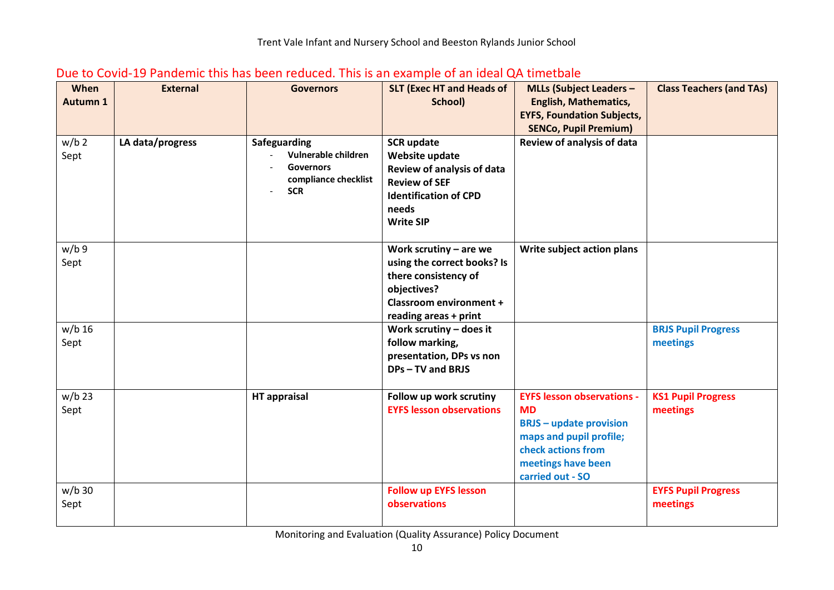| When<br><b>Autumn 1</b> | <b>External</b>  | <b>Governors</b>                                                                              | <b>SLT (Exec HT and Heads of</b><br>School)                                                                                                               | <b>MLLs (Subject Leaders -</b><br><b>English, Mathematics,</b><br><b>EYFS, Foundation Subjects,</b><br><b>SENCo, Pupil Premium)</b>                                         | <b>Class Teachers (and TAs)</b>        |
|-------------------------|------------------|-----------------------------------------------------------------------------------------------|-----------------------------------------------------------------------------------------------------------------------------------------------------------|-----------------------------------------------------------------------------------------------------------------------------------------------------------------------------|----------------------------------------|
| $w/b$ 2<br>Sept         | LA data/progress | Safeguarding<br>Vulnerable children<br><b>Governors</b><br>compliance checklist<br><b>SCR</b> | <b>SCR update</b><br>Website update<br>Review of analysis of data<br><b>Review of SEF</b><br><b>Identification of CPD</b><br>needs<br><b>Write SIP</b>    | Review of analysis of data                                                                                                                                                  |                                        |
| w/b9<br>Sept            |                  |                                                                                               | Work scrutiny $-$ are we<br>using the correct books? Is<br>there consistency of<br>objectives?<br><b>Classroom environment +</b><br>reading areas + print | Write subject action plans                                                                                                                                                  |                                        |
| $w/b$ 16<br>Sept        |                  |                                                                                               | Work scrutiny $-$ does it<br>follow marking,<br>presentation, DPs vs non<br><b>DPs-TV and BRJS</b>                                                        |                                                                                                                                                                             | <b>BRJS Pupil Progress</b><br>meetings |
| $w/b$ 23<br>Sept        |                  | <b>HT</b> appraisal                                                                           | Follow up work scrutiny<br><b>EYFS lesson observations</b>                                                                                                | <b>EYFS lesson observations -</b><br><b>MD</b><br><b>BRJS</b> - update provision<br>maps and pupil profile;<br>check actions from<br>meetings have been<br>carried out - SO | <b>KS1 Pupil Progress</b><br>meetings  |
| $w/b$ 30<br>Sept        |                  |                                                                                               | <b>Follow up EYFS lesson</b><br>observations                                                                                                              |                                                                                                                                                                             | <b>EYFS Pupil Progress</b><br>meetings |

## Due to Covid-19 Pandemic this has been reduced. This is an example of an ideal QA timetbale

Monitoring and Evaluation (Quality Assurance) Policy Document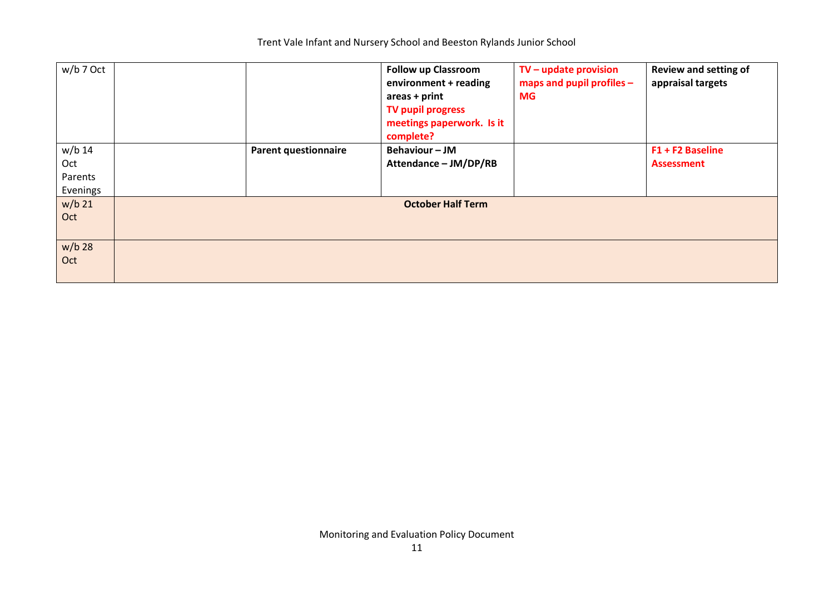| w/b 7 Oct       |                             | <b>Follow up Classroom</b><br>environment + reading<br>$area + print$<br><b>TV pupil progress</b><br>meetings paperwork. Is it<br>complete? | $TV$ – update provision<br>maps and pupil profiles -<br>MG | <b>Review and setting of</b><br>appraisal targets |
|-----------------|-----------------------------|---------------------------------------------------------------------------------------------------------------------------------------------|------------------------------------------------------------|---------------------------------------------------|
| $w/b$ 14        | <b>Parent questionnaire</b> | Behaviour-JM                                                                                                                                |                                                            | F1 + F2 Baseline                                  |
| Oct             |                             | Attendance - JM/DP/RB                                                                                                                       |                                                            | <b>Assessment</b>                                 |
| Parents         |                             |                                                                                                                                             |                                                            |                                                   |
| Evenings        |                             |                                                                                                                                             |                                                            |                                                   |
| $w/b$ 21        |                             | <b>October Half Term</b>                                                                                                                    |                                                            |                                                   |
| Oct             |                             |                                                                                                                                             |                                                            |                                                   |
| $w/b$ 28<br>Oct |                             |                                                                                                                                             |                                                            |                                                   |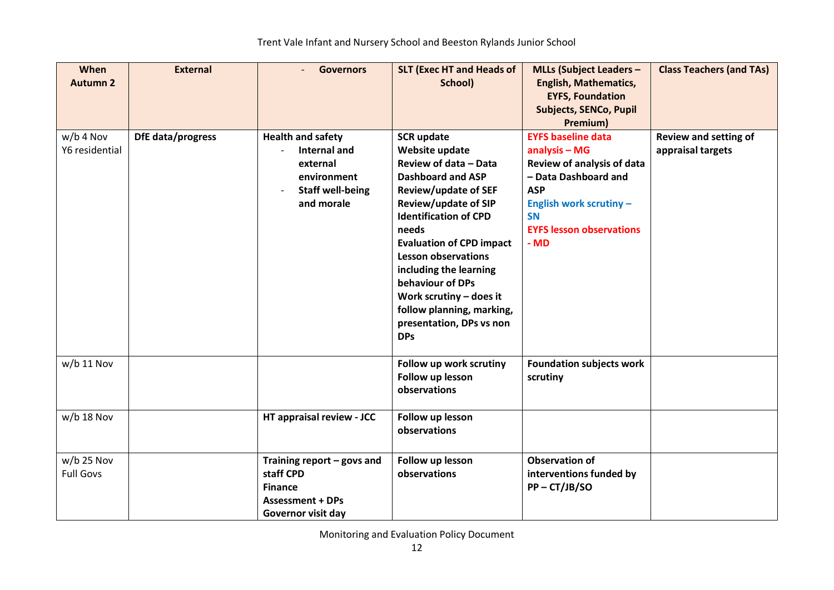| When<br><b>Autumn 2</b>          | <b>External</b>   | <b>Governors</b>                                                                                             | <b>SLT (Exec HT and Heads of</b><br>School)                                                                                                                                                                                                                                                                                                                                                                        | <b>MLLs (Subject Leaders -</b><br><b>English, Mathematics,</b><br><b>EYFS, Foundation</b><br><b>Subjects, SENCo, Pupil</b><br>Premium)                                                            | <b>Class Teachers (and TAs)</b>                   |
|----------------------------------|-------------------|--------------------------------------------------------------------------------------------------------------|--------------------------------------------------------------------------------------------------------------------------------------------------------------------------------------------------------------------------------------------------------------------------------------------------------------------------------------------------------------------------------------------------------------------|---------------------------------------------------------------------------------------------------------------------------------------------------------------------------------------------------|---------------------------------------------------|
| $w/b$ 4 Nov<br>Y6 residential    | DfE data/progress | <b>Health and safety</b><br>Internal and<br>external<br>environment<br><b>Staff well-being</b><br>and morale | <b>SCR update</b><br>Website update<br>Review of data - Data<br><b>Dashboard and ASP</b><br><b>Review/update of SEF</b><br><b>Review/update of SIP</b><br><b>Identification of CPD</b><br>needs<br><b>Evaluation of CPD impact</b><br><b>Lesson observations</b><br>including the learning<br>behaviour of DPs<br>Work scrutiny $-$ does it<br>follow planning, marking,<br>presentation, DPs vs non<br><b>DPs</b> | <b>EYFS baseline data</b><br>analysis - MG<br>Review of analysis of data<br>- Data Dashboard and<br><b>ASP</b><br>English work scrutiny -<br><b>SN</b><br><b>EYFS lesson observations</b><br>- MD | <b>Review and setting of</b><br>appraisal targets |
| $w/b$ 11 Nov                     |                   |                                                                                                              | Follow up work scrutiny<br>Follow up lesson<br>observations                                                                                                                                                                                                                                                                                                                                                        | <b>Foundation subjects work</b><br>scrutiny                                                                                                                                                       |                                                   |
| $w/b$ 18 Nov                     |                   | HT appraisal review - JCC                                                                                    | Follow up lesson<br>observations                                                                                                                                                                                                                                                                                                                                                                                   |                                                                                                                                                                                                   |                                                   |
| $w/b$ 25 Nov<br><b>Full Govs</b> |                   | Training report $-$ govs and<br>staff CPD<br><b>Finance</b><br><b>Assessment + DPs</b><br>Governor visit day | Follow up lesson<br>observations                                                                                                                                                                                                                                                                                                                                                                                   | <b>Observation of</b><br>interventions funded by<br>PP-CT/JB/SO                                                                                                                                   |                                                   |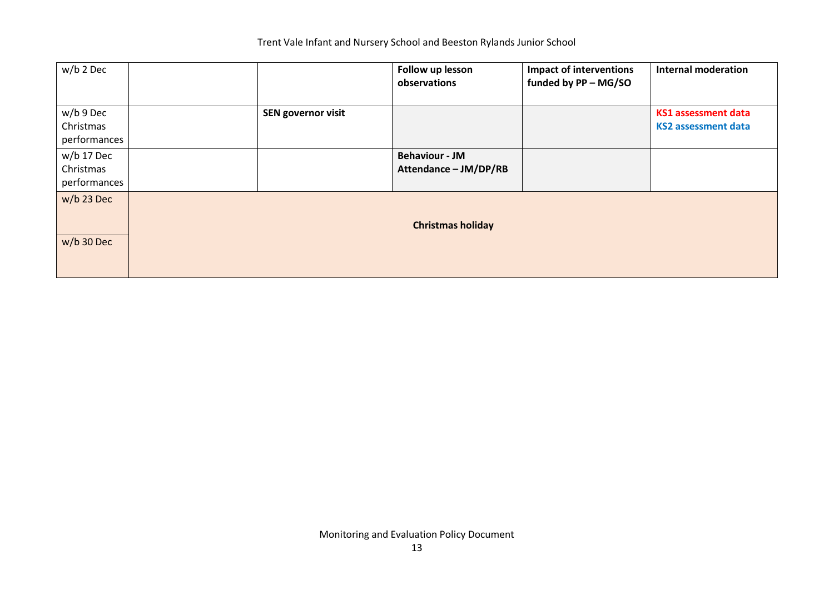| $w/b$ 2 Dec                               |                           | Follow up lesson<br>observations               | <b>Impact of interventions</b><br>funded by PP - MG/SO | <b>Internal moderation</b>                               |
|-------------------------------------------|---------------------------|------------------------------------------------|--------------------------------------------------------|----------------------------------------------------------|
| $w/b$ 9 Dec<br>Christmas<br>performances  | <b>SEN governor visit</b> |                                                |                                                        | <b>KS1 assessment data</b><br><b>KS2</b> assessment data |
| $w/b$ 17 Dec<br>Christmas<br>performances |                           | <b>Behaviour - JM</b><br>Attendance - JM/DP/RB |                                                        |                                                          |
| $w/b$ 23 Dec<br>$w/b$ 30 Dec              |                           | <b>Christmas holiday</b>                       |                                                        |                                                          |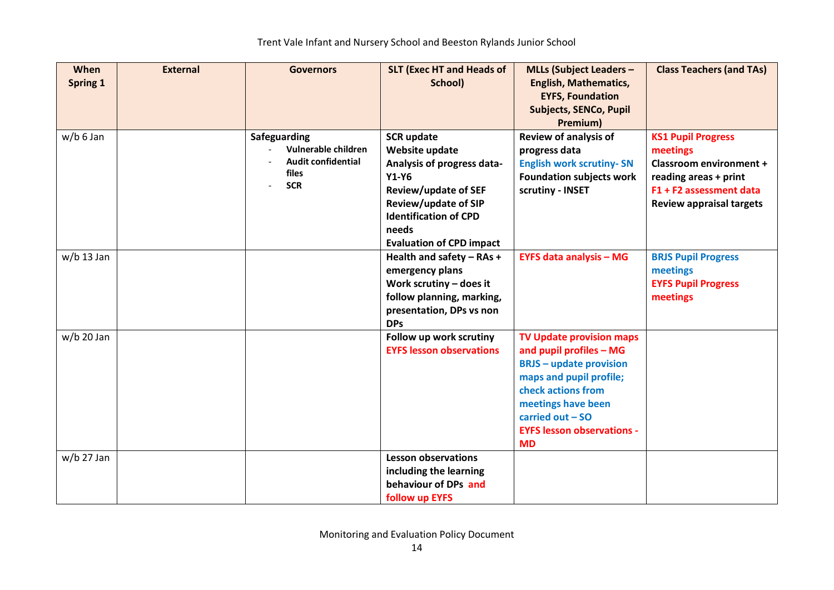| When<br>Spring 1 | <b>External</b> | <b>Governors</b>                                                                        | <b>SLT (Exec HT and Heads of</b><br>School)                                                                                                                                                                                   | <b>MLLs (Subject Leaders -</b><br><b>English, Mathematics,</b><br><b>EYFS, Foundation</b><br><b>Subjects, SENCo, Pupil</b><br>Premium)                                                                                                      | <b>Class Teachers (and TAs)</b>                                                                                                                         |
|------------------|-----------------|-----------------------------------------------------------------------------------------|-------------------------------------------------------------------------------------------------------------------------------------------------------------------------------------------------------------------------------|---------------------------------------------------------------------------------------------------------------------------------------------------------------------------------------------------------------------------------------------|---------------------------------------------------------------------------------------------------------------------------------------------------------|
| $w/b$ 6 Jan      |                 | Safeguarding<br>Vulnerable children<br><b>Audit confidential</b><br>files<br><b>SCR</b> | <b>SCR update</b><br><b>Website update</b><br>Analysis of progress data-<br>$Y1-Y6$<br><b>Review/update of SEF</b><br><b>Review/update of SIP</b><br><b>Identification of CPD</b><br>needs<br><b>Evaluation of CPD impact</b> | <b>Review of analysis of</b><br>progress data<br><b>English work scrutiny-SN</b><br><b>Foundation subjects work</b><br>scrutiny - INSET                                                                                                     | <b>KS1 Pupil Progress</b><br>meetings<br>Classroom environment +<br>reading areas + print<br>F1 + F2 assessment data<br><b>Review appraisal targets</b> |
| $w/b$ 13 Jan     |                 |                                                                                         | Health and safety $-$ RAs +<br>emergency plans<br>Work scrutiny $-$ does it<br>follow planning, marking,<br>presentation, DPs vs non<br><b>DPs</b>                                                                            | <b>EYFS data analysis - MG</b>                                                                                                                                                                                                              | <b>BRJS Pupil Progress</b><br>meetings<br><b>EYFS Pupil Progress</b><br>meetings                                                                        |
| $w/b$ 20 Jan     |                 |                                                                                         | Follow up work scrutiny<br><b>EYFS lesson observations</b>                                                                                                                                                                    | <b>TV Update provision maps</b><br>and pupil profiles - MG<br><b>BRJS</b> - update provision<br>maps and pupil profile;<br>check actions from<br>meetings have been<br>carried out $-$ SO<br><b>EYFS lesson observations -</b><br><b>MD</b> |                                                                                                                                                         |
| $w/b$ 27 Jan     |                 |                                                                                         | <b>Lesson observations</b><br>including the learning<br>behaviour of DPs and<br>follow up EYFS                                                                                                                                |                                                                                                                                                                                                                                             |                                                                                                                                                         |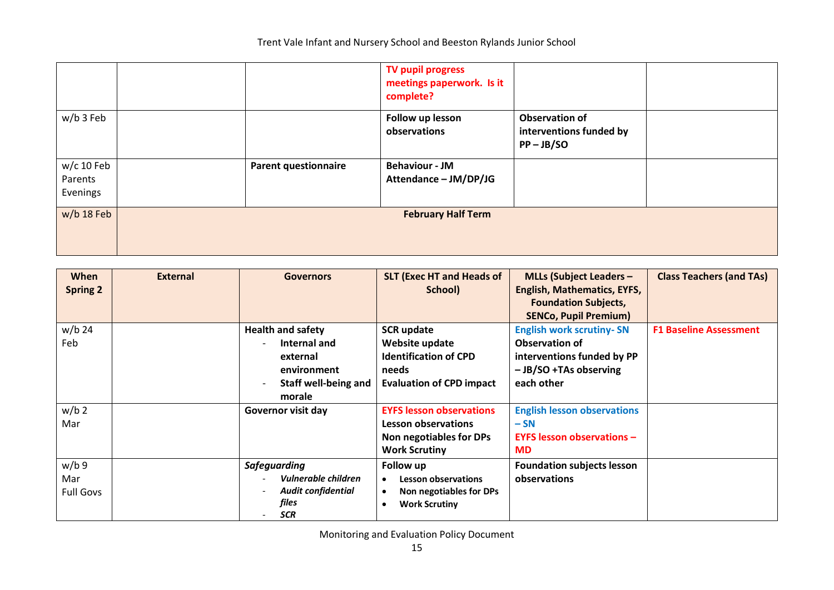|                                     |                             | TV pupil progress<br>meetings paperwork. Is it<br>complete? |                                                                  |  |
|-------------------------------------|-----------------------------|-------------------------------------------------------------|------------------------------------------------------------------|--|
| w/b 3 Feb                           |                             | Follow up lesson<br>observations                            | <b>Observation of</b><br>interventions funded by<br>$PP - JB/SO$ |  |
| $w/c$ 10 Feb<br>Parents<br>Evenings | <b>Parent questionnaire</b> | <b>Behaviour - JM</b><br>Attendance - JM/DP/JG              |                                                                  |  |
| $w/b$ 18 Feb                        |                             | <b>February Half Term</b>                                   |                                                                  |  |

| When<br><b>Spring 2</b>         | <b>External</b> | <b>Governors</b>                                                                               | <b>SLT (Exec HT and Heads of</b><br>School)                                                                  | <b>MLLs (Subject Leaders -</b><br><b>English, Mathematics, EYFS,</b><br><b>Foundation Subjects,</b><br><b>SENCo, Pupil Premium)</b> | <b>Class Teachers (and TAs)</b> |
|---------------------------------|-----------------|------------------------------------------------------------------------------------------------|--------------------------------------------------------------------------------------------------------------|-------------------------------------------------------------------------------------------------------------------------------------|---------------------------------|
| $w/b$ 24                        |                 | <b>Health and safety</b>                                                                       | <b>SCR update</b>                                                                                            | <b>English work scrutiny-SN</b>                                                                                                     | <b>F1 Baseline Assessment</b>   |
| Feb                             |                 | Internal and<br>external<br>environment<br><b>Staff well-being and</b><br>morale               | Website update<br><b>Identification of CPD</b><br>needs<br><b>Evaluation of CPD impact</b>                   | <b>Observation of</b><br>interventions funded by PP<br>$-JB/SO +TAs$ observing<br>each other                                        |                                 |
| $w/b$ 2                         |                 | Governor visit day                                                                             | <b>EYFS lesson observations</b>                                                                              | <b>English lesson observations</b>                                                                                                  |                                 |
| Mar                             |                 |                                                                                                | <b>Lesson observations</b><br>Non negotiables for DPs<br><b>Work Scrutiny</b>                                | $-SN$<br><b>EYFS lesson observations -</b><br><b>MD</b>                                                                             |                                 |
| w/b9<br>Mar<br><b>Full Govs</b> |                 | <b>Safeguarding</b><br>Vulnerable children<br><b>Audit confidential</b><br>files<br><b>SCR</b> | Follow up<br><b>Lesson observations</b><br>$\bullet$<br>Non negotiables for DPs<br>٠<br><b>Work Scrutiny</b> | <b>Foundation subjects lesson</b><br>observations                                                                                   |                                 |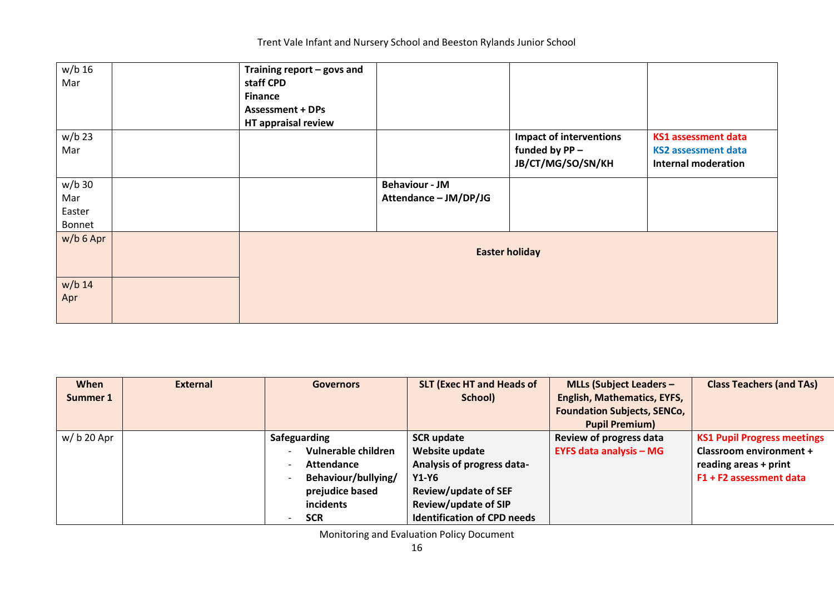| $w/b$ 16<br>Mar                     | Training report $-$ govs and<br>staff CPD<br><b>Finance</b><br><b>Assessment + DPs</b> |                                                |                                                                      |                                                                                        |
|-------------------------------------|----------------------------------------------------------------------------------------|------------------------------------------------|----------------------------------------------------------------------|----------------------------------------------------------------------------------------|
| $w/b$ 23<br>Mar                     | <b>HT</b> appraisal review                                                             |                                                | <b>Impact of interventions</b><br>funded by PP-<br>JB/CT/MG/SO/SN/KH | <b>KS1 assessment data</b><br><b>KS2</b> assessment data<br><b>Internal moderation</b> |
| $w/b$ 30<br>Mar<br>Easter<br>Bonnet |                                                                                        | <b>Behaviour - JM</b><br>Attendance - JM/DP/JG |                                                                      |                                                                                        |
| $w/b$ 6 Apr                         |                                                                                        |                                                | <b>Easter holiday</b>                                                |                                                                                        |
| $w/b$ 14<br>Apr                     |                                                                                        |                                                |                                                                      |                                                                                        |

| When         | <b>External</b> | <b>Governors</b>    | <b>SLT (Exec HT and Heads of</b>   | <b>MLLs (Subject Leaders -</b>     | <b>Class Teachers (and TAs)</b>    |
|--------------|-----------------|---------------------|------------------------------------|------------------------------------|------------------------------------|
| Summer 1     |                 |                     | School)                            | <b>English, Mathematics, EYFS,</b> |                                    |
|              |                 |                     |                                    | <b>Foundation Subjects, SENCo,</b> |                                    |
|              |                 |                     |                                    | <b>Pupil Premium)</b>              |                                    |
| $w/b$ 20 Apr |                 | <b>Safeguarding</b> | <b>SCR update</b>                  | Review of progress data            | <b>KS1 Pupil Progress meetings</b> |
|              |                 | Vulnerable children | Website update                     | <b>EYFS data analysis - MG</b>     | Classroom environment +            |
|              |                 | Attendance          | Analysis of progress data-         |                                    | reading areas + print              |
|              |                 | Behaviour/bullying/ | $Y1-Y6$                            |                                    | F1 + F2 assessment data            |
|              |                 | prejudice based     | <b>Review/update of SEF</b>        |                                    |                                    |
|              |                 | incidents           | <b>Review/update of SIP</b>        |                                    |                                    |
|              |                 | <b>SCR</b>          | <b>Identification of CPD needs</b> |                                    |                                    |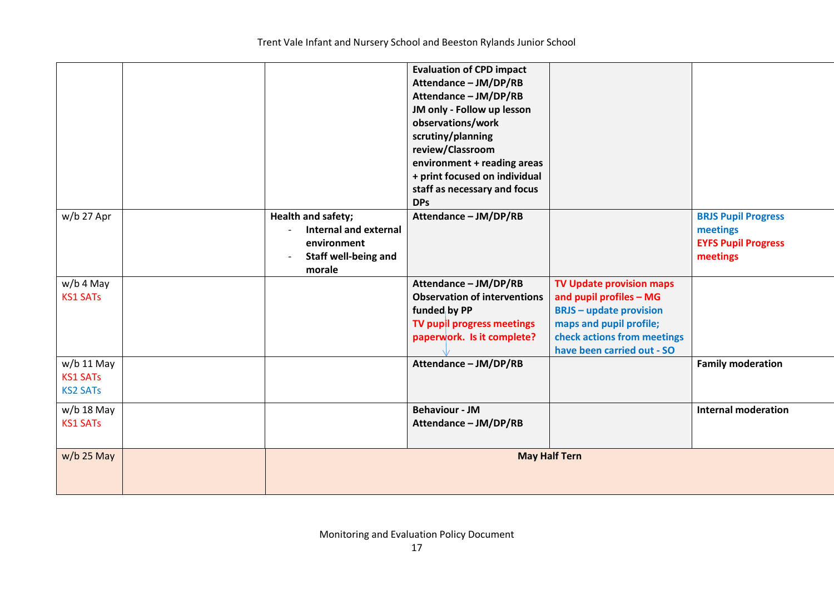|                                                    |                                                                                                            | <b>Evaluation of CPD impact</b><br>Attendance - JM/DP/RB<br>Attendance - JM/DP/RB<br>JM only - Follow up lesson<br>observations/work<br>scrutiny/planning<br>review/Classroom<br>environment + reading areas<br>+ print focused on individual<br>staff as necessary and focus<br><b>DPs</b> |                                                                                                                                                                                    |                                                                                  |
|----------------------------------------------------|------------------------------------------------------------------------------------------------------------|---------------------------------------------------------------------------------------------------------------------------------------------------------------------------------------------------------------------------------------------------------------------------------------------|------------------------------------------------------------------------------------------------------------------------------------------------------------------------------------|----------------------------------------------------------------------------------|
| w/b 27 Apr                                         | Health and safety;<br><b>Internal and external</b><br>environment<br><b>Staff well-being and</b><br>morale | Attendance - JM/DP/RB                                                                                                                                                                                                                                                                       |                                                                                                                                                                                    | <b>BRJS Pupil Progress</b><br>meetings<br><b>EYFS Pupil Progress</b><br>meetings |
| w/b 4 May<br><b>KS1 SATs</b>                       |                                                                                                            | Attendance - JM/DP/RB<br><b>Observation of interventions</b><br>funded by PP<br>TV pupil progress meetings<br>paperwork. Is it complete?                                                                                                                                                    | <b>TV Update provision maps</b><br>and pupil profiles - MG<br><b>BRJS-update provision</b><br>maps and pupil profile;<br>check actions from meetings<br>have been carried out - SO |                                                                                  |
| $w/b$ 11 May<br><b>KS1 SATs</b><br><b>KS2 SATs</b> |                                                                                                            | Attendance - JM/DP/RB                                                                                                                                                                                                                                                                       |                                                                                                                                                                                    | <b>Family moderation</b>                                                         |
| $w/b$ 18 May<br><b>KS1 SATs</b>                    |                                                                                                            | <b>Behaviour - JM</b><br>Attendance - JM/DP/RB                                                                                                                                                                                                                                              |                                                                                                                                                                                    | <b>Internal moderation</b>                                                       |
| $w/b$ 25 May                                       |                                                                                                            |                                                                                                                                                                                                                                                                                             | <b>May Half Tern</b>                                                                                                                                                               |                                                                                  |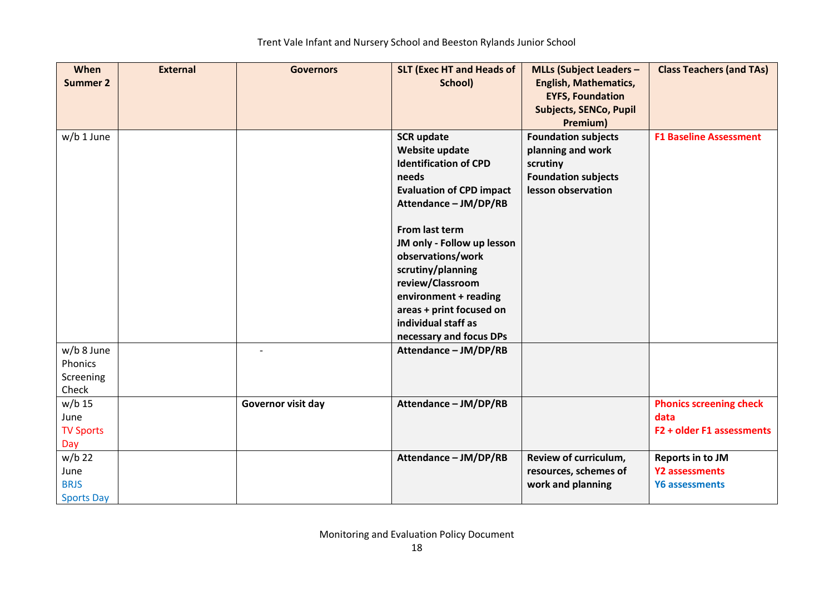| When<br><b>Summer 2</b>                              | <b>External</b> | <b>Governors</b>   | <b>SLT (Exec HT and Heads of</b><br>School)                                                                                                                                                                                                                                                                                                                          | <b>MLLs (Subject Leaders -</b><br><b>English, Mathematics,</b><br><b>EYFS, Foundation</b><br><b>Subjects, SENCo, Pupil</b><br>Premium) | <b>Class Teachers (and TAs)</b>                                     |
|------------------------------------------------------|-----------------|--------------------|----------------------------------------------------------------------------------------------------------------------------------------------------------------------------------------------------------------------------------------------------------------------------------------------------------------------------------------------------------------------|----------------------------------------------------------------------------------------------------------------------------------------|---------------------------------------------------------------------|
| w/b 1 June                                           |                 |                    | <b>SCR update</b><br><b>Website update</b><br><b>Identification of CPD</b><br>needs<br><b>Evaluation of CPD impact</b><br>Attendance - JM/DP/RB<br>From last term<br>JM only - Follow up lesson<br>observations/work<br>scrutiny/planning<br>review/Classroom<br>environment + reading<br>areas + print focused on<br>individual staff as<br>necessary and focus DPs | <b>Foundation subjects</b><br>planning and work<br>scrutiny<br><b>Foundation subjects</b><br>lesson observation                        | <b>F1 Baseline Assessment</b>                                       |
| w/b 8 June<br>Phonics<br>Screening<br>Check          |                 |                    | Attendance - JM/DP/RB                                                                                                                                                                                                                                                                                                                                                |                                                                                                                                        |                                                                     |
| $w/b$ 15<br>June<br><b>TV Sports</b><br>Day          |                 | Governor visit day | Attendance - JM/DP/RB                                                                                                                                                                                                                                                                                                                                                |                                                                                                                                        | <b>Phonics screening check</b><br>data<br>F2 + older F1 assessments |
| $w/b$ 22<br>June<br><b>BRJS</b><br><b>Sports Day</b> |                 |                    | Attendance - JM/DP/RB                                                                                                                                                                                                                                                                                                                                                | Review of curriculum,<br>resources, schemes of<br>work and planning                                                                    | <b>Reports in to JM</b><br>Y2 assessments<br><b>Y6 assessments</b>  |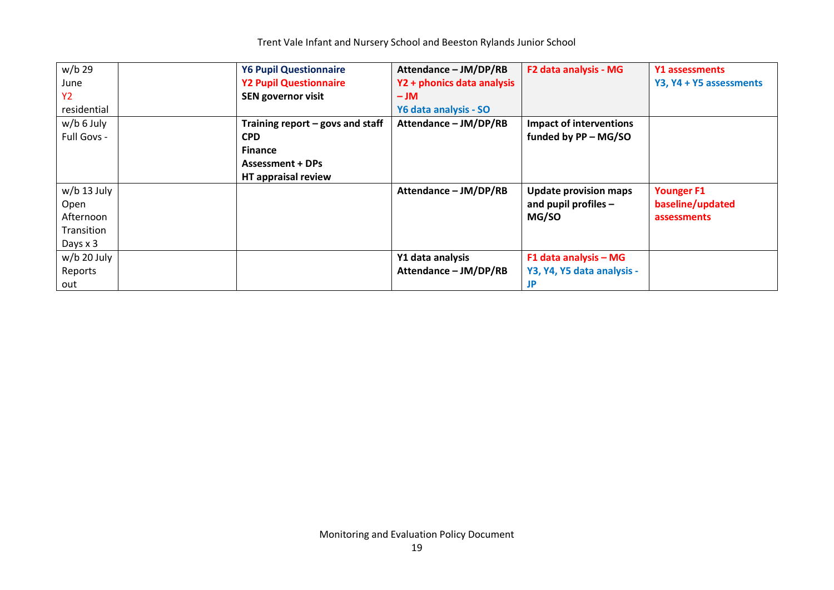| $w/b$ 29      | <b>Y6 Pupil Questionnaire</b>      | Attendance - JM/DP/RB      | F2 data analysis - MG          | <b>Y1</b> assessments   |
|---------------|------------------------------------|----------------------------|--------------------------------|-------------------------|
| June          | <b>Y2 Pupil Questionnaire</b>      | Y2 + phonics data analysis |                                | Y3, Y4 + Y5 assessments |
| Y2            | <b>SEN governor visit</b>          | $-$ JM                     |                                |                         |
| residential   |                                    | Y6 data analysis - SO      |                                |                         |
| w/b 6 July    | Training report $-$ govs and staff | Attendance - JM/DP/RB      | <b>Impact of interventions</b> |                         |
| Full Govs -   | <b>CPD</b>                         |                            | funded by PP - MG/SO           |                         |
|               | <b>Finance</b>                     |                            |                                |                         |
|               | <b>Assessment + DPs</b>            |                            |                                |                         |
|               | <b>HT</b> appraisal review         |                            |                                |                         |
| $w/b$ 13 July |                                    | Attendance - JM/DP/RB      | <b>Update provision maps</b>   | <b>Younger F1</b>       |
| Open          |                                    |                            | and pupil profiles $-$         | baseline/updated        |
| Afternoon     |                                    |                            | MG/SO                          | assessments             |
| Transition    |                                    |                            |                                |                         |
| Days $x$ 3    |                                    |                            |                                |                         |
| $w/b$ 20 July |                                    | Y1 data analysis           | F1 data analysis - MG          |                         |
| Reports       |                                    | Attendance - JM/DP/RB      | Y3, Y4, Y5 data analysis -     |                         |
| out           |                                    |                            |                                |                         |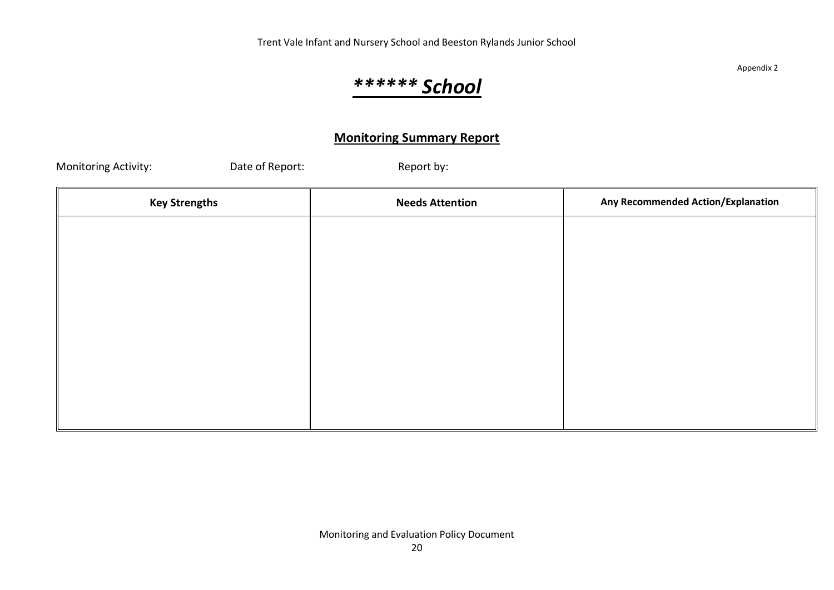# *\*\*\*\*\*\* School*

## **Monitoring Summary Report**

Monitoring Activity: Date of Report: Report by:

| <b>Key Strengths</b> | <b>Needs Attention</b> | <b>Any Recommended Action/Explanation</b> |
|----------------------|------------------------|-------------------------------------------|
|                      |                        |                                           |
|                      |                        |                                           |
|                      |                        |                                           |
|                      |                        |                                           |
|                      |                        |                                           |
|                      |                        |                                           |
|                      |                        |                                           |
|                      |                        |                                           |

Appendix 2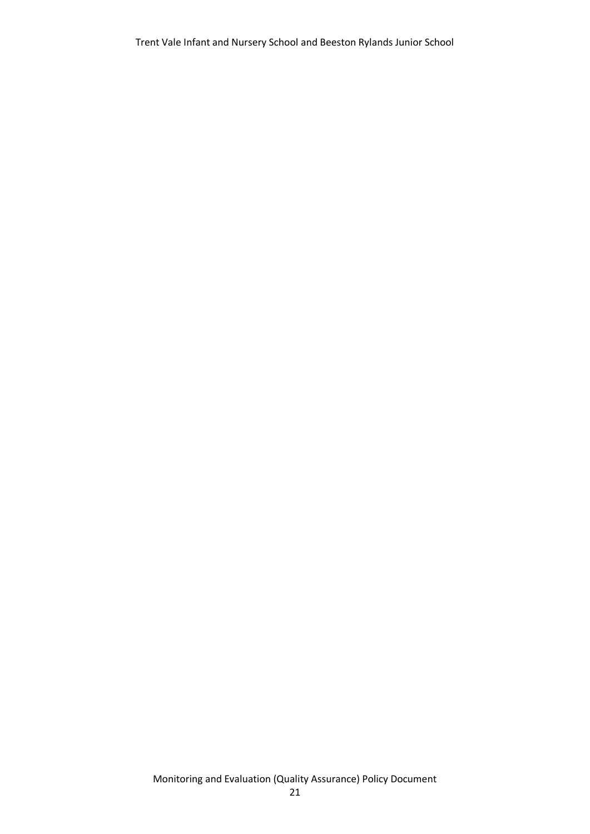Monitoring and Evaluation (Quality Assurance) Policy Document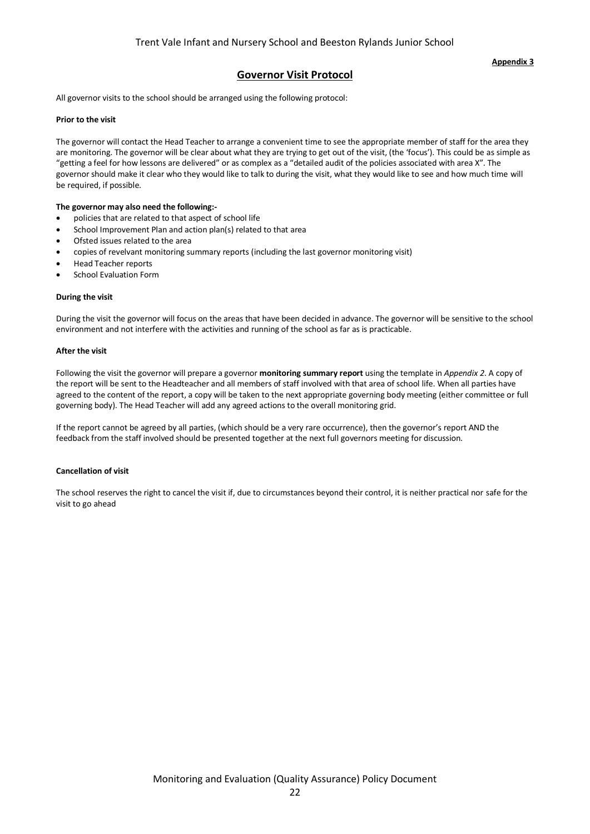#### **Appendix 3**

#### **Governor Visit Protocol**

All governor visits to the school should be arranged using the following protocol:

#### **Prior to the visit**

The governor will contact the Head Teacher to arrange a convenient time to see the appropriate member of staff for the area they are monitoring. The governor will be clear about what they are trying to get out of the visit, (the 'focus'). This could be as simple as "getting a feel for how lessons are delivered" or as complex as a "detailed audit of the policies associated with area X". The governor should make it clear who they would like to talk to during the visit, what they would like to see and how much time will be required, if possible.

#### **The governor may also need the following:-**

- policies that are related to that aspect of school life
- School Improvement Plan and action plan(s) related to that area
- Ofsted issues related to the area
- copies of revelvant monitoring summary reports (including the last governor monitoring visit)
- Head Teacher reports
- School Evaluation Form

#### **During the visit**

During the visit the governor will focus on the areas that have been decided in advance. The governor will be sensitive to the school environment and not interfere with the activities and running of the school as far as is practicable.

#### **After the visit**

Following the visit the governor will prepare a governor **monitoring summary report** using the template in *Appendix 2*. A copy of the report will be sent to the Headteacher and all members of staff involved with that area of school life. When all parties have agreed to the content of the report, a copy will be taken to the next appropriate governing body meeting (either committee or full governing body). The Head Teacher will add any agreed actions to the overall monitoring grid.

If the report cannot be agreed by all parties, (which should be a very rare occurrence), then the governor's report AND the feedback from the staff involved should be presented together at the next full governors meeting for discussion.

#### **Cancellation of visit**

The school reserves the right to cancel the visit if, due to circumstances beyond their control, it is neither practical nor safe for the visit to go ahead